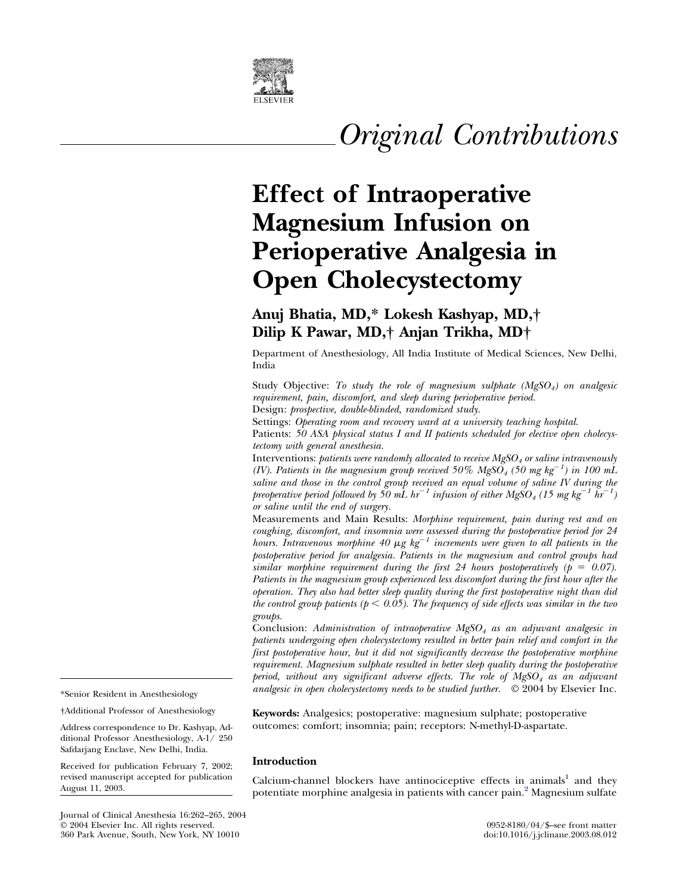

# *Original Contributions*

## **Effect of Intraoperative Magnesium Infusion on Perioperative Analgesia in Open Cholecystectomy**

### **Anuj Bhatia, MD,\* Lokesh Kashyap, MD,† Dilip K Pawar, MD,† Anjan Trikha, MD†**

Department of Anesthesiology, All India Institute of Medical Sciences, New Delhi, India

Study Objective: *To study the role of magnesium sulphate (MgSO4) on analgesic requirement, pain, discomfort, and sleep during perioperative period.*

Design: *prospective, double-blinded, randomized study.*

Settings: *Operating room and recovery ward at a university teaching hospital.*

Patients: *50 ASA physical status I and II patients scheduled for elective open cholecystectomy with general anesthesia.*

Interventions: *patients were randomly allocated to receive MgSO4 or saline intravenously (IV). Patients in the magnesium group received 50% MgSO<sub>4</sub> (50 mg kg<sup>-1</sup>) in 100 mL saline and those in the control group received an equal volume of saline IV during the preoperative period followed by 50 mL hr*<sup> $-1$ </sup> *infusion of either MgSO<sub>4</sub> (15 mg kg*<sup> $-1$ </sup> *hr*<sup> $-$ </sup> *) or saline until the end of surgery.*

Measurements and Main Results: *Morphine requirement, pain during rest and on coughing, discomfort, and insomnia were assessed during the postoperative period for 24 hours. Intravenous morphine 40*  $\mu g$   $kg^{-1}$  *increments were given to all patients in the postoperative period for analgesia. Patients in the magnesium and control groups had similar morphine requirement during the first 24 hours postoperatively (* $p = 0.07$ *). Patients in the magnesium group experienced less discomfort during the first hour after the operation. They also had better sleep quality during the first postoperative night than did the control group patients (* $p < 0.05$ *). The frequency of side effects was similar in the two groups.*

Conclusion: *Administration of intraoperative MgSO4 as an adjuvant analgesic in patients undergoing open cholecystectomy resulted in better pain relief and comfort in the first postoperative hour, but it did not significantly decrease the postoperative morphine requirement. Magnesium sulphate resulted in better sleep quality during the postoperative period, without any significant adverse effects. The role of MgSO4 as an adjuvant analgesic in open cholecystectomy needs to be studied further.* © 2004 by Elsevier Inc.

**Keywords:** Analgesics; postoperative: magnesium sulphate; postoperative outcomes: comfort; insomnia; pain; receptors: N-methyl-D-aspartate.

#### **Introduction**

Calcium-channel blockers have antinociceptive effects in animals<sup>1</sup> and they potentiate morphine analgesia in patients with cancer pain[.2](#page-3-0) Magnesium sulfate

\*Senior Resident in Anesthesiology

†Additional Professor of Anesthesiology

Address correspondence to Dr. Kashyap, Additional Professor Anesthesiology, A-1/ 250 Safdarjang Enclave, New Delhi, India.

Received for publication February 7, 2002; revised manuscript accepted for publication August 11, 2003.

Journal of Clinical Anesthesia 16:262–265, 2004 © 2004 Elsevier Inc. All rights reserved. 0952-8180/04/\$–see front matter 360 Park Avenue, South, New York, NY 10010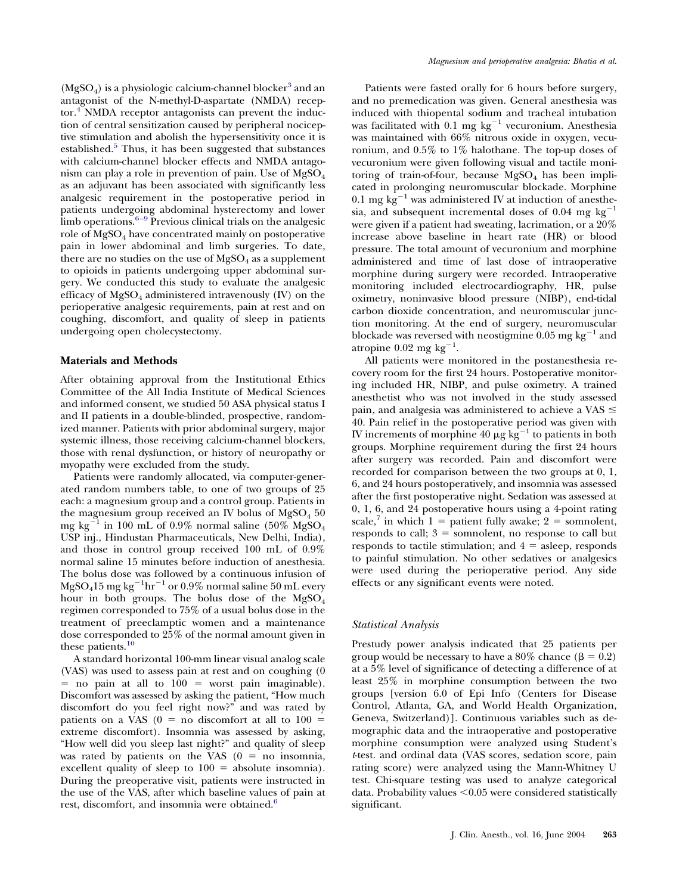$(MgSO<sub>4</sub>)$  is a physiologic calcium-channel blocker<sup>3</sup> and an antagonist of the N-methyl-D-aspartate (NMDA) receptor.<sup>4</sup> NMDA receptor antagonists can prevent the induction of central sensitization caused by peripheral nociceptive stimulation and abolish the hypersensitivity once it is established. $5$  Thus, it has been suggested that substances with calcium-channel blocker effects and NMDA antagonism can play a role in prevention of pain. Use of  $MgSO<sub>4</sub>$ as an adjuvant has been associated with significantly less analgesic requirement in the postoperative period in patients undergoing abdominal hysterectomy and lower limb operations. $6-9$  Previous clinical trials on the analgesic role of  $MgSO<sub>4</sub>$  have concentrated mainly on postoperative pain in lower abdominal and limb surgeries. To date, there are no studies on the use of  $MgSO<sub>4</sub>$  as a supplement to opioids in patients undergoing upper abdominal surgery. We conducted this study to evaluate the analgesic efficacy of  $MgSO<sub>4</sub>$  administered intravenously (IV) on the perioperative analgesic requirements, pain at rest and on coughing, discomfort, and quality of sleep in patients undergoing open cholecystectomy.

#### **Materials and Methods**

After obtaining approval from the Institutional Ethics Committee of the All India Institute of Medical Sciences and informed consent, we studied 50 ASA physical status I and II patients in a double-blinded, prospective, randomized manner. Patients with prior abdominal surgery, major systemic illness, those receiving calcium-channel blockers, those with renal dysfunction, or history of neuropathy or myopathy were excluded from the study.

Patients were randomly allocated, via computer-generated random numbers table, to one of two groups of 25 each: a magnesium group and a control group. Patients in the magnesium group received an IV bolus of  $MgSO<sub>4</sub> 50$ mg kg<sup>-1</sup> in 100 mL of 0.9% normal saline (50% MgSO<sub>4</sub> USP inj., Hindustan Pharmaceuticals, New Delhi, India), and those in control group received 100 mL of 0.9% normal saline 15 minutes before induction of anesthesia. The bolus dose was followed by a continuous infusion of  ${\rm MgSO_415\,mg\,kg^{-1}hr^{-1}}$  or  $0.9\%$  normal saline  $50$  mL every hour in both groups. The bolus dose of the  $MgSO<sub>4</sub>$ regimen corresponded to 75% of a usual bolus dose in the treatment of preeclamptic women and a maintenance dose corresponded to 25% of the normal amount given in these patients. $10$ 

A standard horizontal 100-mm linear visual analog scale (VAS) was used to assess pain at rest and on coughing (0  $=$  no pain at all to  $100 =$  worst pain imaginable). Discomfort was assessed by asking the patient, "How much discomfort do you feel right now?" and was rated by patients on a VAS ( $0 =$  no discomfort at all to  $100 =$ extreme discomfort). Insomnia was assessed by asking, "How well did you sleep last night?" and quality of sleep was rated by patients on the VAS  $(0 = no$  insomnia, excellent quality of sleep to  $100 =$  absolute insomnia). During the preoperative visit, patients were instructed in the use of the VAS, after which baseline values of pain at rest, discomfort, and insomnia were obtained.<sup>6</sup>

Patients were fasted orally for 6 hours before surgery, and no premedication was given. General anesthesia was induced with thiopental sodium and tracheal intubation was facilitated with 0.1 mg  $kg^{-1}$  vecuronium. Anesthesia was maintained with 66% nitrous oxide in oxygen, vecuronium, and 0.5% to 1% halothane. The top-up doses of vecuronium were given following visual and tactile monitoring of train-of-four, because  $MgSO<sub>4</sub>$  has been implicated in prolonging neuromuscular blockade. Morphine 0.1 mg kg<sup>-1</sup> was administered IV at induction of anesthesia, and subsequent incremental doses of 0.04 mg  $kg^{-1}$ were given if a patient had sweating, lacrimation, or a 20% increase above baseline in heart rate (HR) or blood pressure. The total amount of vecuronium and morphine administered and time of last dose of intraoperative morphine during surgery were recorded. Intraoperative monitoring included electrocardiography, HR, pulse oximetry, noninvasive blood pressure (NIBP), end-tidal carbon dioxide concentration, and neuromuscular junction monitoring. At the end of surgery, neuromuscular blockade was reversed with neostigmine 0.05 mg kg<sup>-1</sup> and atropine  $0.02$  mg kg<sup>-1</sup>.

All patients were monitored in the postanesthesia recovery room for the first 24 hours. Postoperative monitoring included HR, NIBP, and pulse oximetry. A trained anesthetist who was not involved in the study assessed pain, and analgesia was administered to achieve a VAS  $\leq$ 40. Pain relief in the postoperative period was given with IV increments of morphine 40  $\mu$ g kg<sup>-1</sup> to patients in both groups. Morphine requirement during the first 24 hours after surgery was recorded. Pain and discomfort were recorded for comparison between the two groups at 0, 1, 6, and 24 hours postoperatively, and insomnia was assessed after the first postoperative night. Sedation was assessed at 0, 1, 6, and 24 postoperative hours using a 4-point rating scale,<sup>7</sup> in which  $1 =$  patient fully awake;  $2 =$  somnolent, responds to call;  $3 =$  somnolent, no response to call but responds to tactile stimulation; and  $4 =$  asleep, responds to painful stimulation. No other sedatives or analgesics were used during the perioperative period. Any side effects or any significant events were noted.

#### *Statistical Analysis*

Prestudy power analysis indicated that 25 patients per group would be necessary to have a  $80\%$  chance ( $\beta = 0.2$ ) at a 5% level of significance of detecting a difference of at least 25% in morphine consumption between the two groups [version 6.0 of Epi Info (Centers for Disease Control, Atlanta, GA, and World Health Organization, Geneva, Switzerland)]. Continuous variables such as demographic data and the intraoperative and postoperative morphine consumption were analyzed using Student's *t*-test. and ordinal data (VAS scores, sedation score, pain rating score) were analyzed using the Mann-Whitney U test. Chi-square testing was used to analyze categorical data. Probability values  $< 0.05$  were considered statistically significant.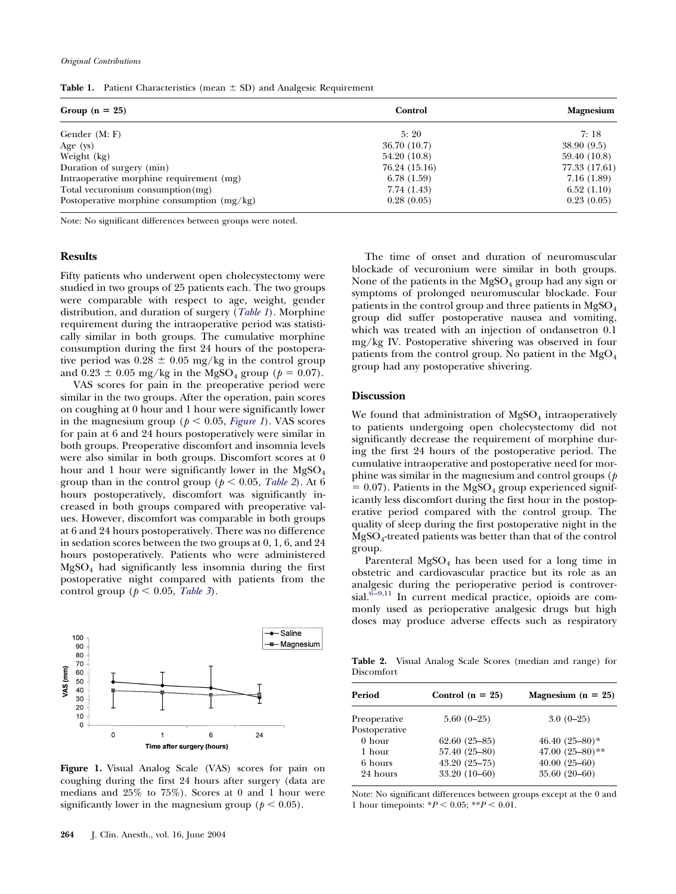**Table 1.** Patient Characteristics (mean  $\pm$  SD) and Analgesic Requirement

| Group $(n = 25)$                             | Control       | <b>Magnesium</b> |
|----------------------------------------------|---------------|------------------|
| Gender (M: F)                                | 5:20          | 7:18             |
| Age $(ys)$                                   | 36.70 (10.7)  | 38.90(9.5)       |
| Weight (kg)                                  | 54.20 (10.8)  | 59.40 (10.8)     |
| Duration of surgery (min)                    | 76.24 (15.16) | 77.33 (17.61)    |
| Intraoperative morphine requirement (mg)     | 6.78(1.59)    | 7.16(1.89)       |
| Total vecuronium consumption $(mg)$          | 7.74(1.43)    | 6.52(1.10)       |
| Postoperative morphine consumption $(mg/kg)$ | 0.28(0.05)    | 0.23(0.05)       |

Note: No significant differences between groups were noted.

#### **Results**

Fifty patients who underwent open cholecystectomy were studied in two groups of 25 patients each. The two groups were comparable with respect to age, weight, gender distribution, and duration of surgery (*Table 1*). Morphine requirement during the intraoperative period was statistically similar in both groups. The cumulative morphine consumption during the first 24 hours of the postoperative period was  $0.28 \pm 0.05$  mg/kg in the control group and  $0.23 \pm 0.05$  mg/kg in the MgSO<sub>4</sub> group ( $p = 0.07$ ).

VAS scores for pain in the preoperative period were similar in the two groups. After the operation, pain scores on coughing at 0 hour and 1 hour were significantly lower in the magnesium group ( $p < 0.05$ , *Figure 1*). VAS scores for pain at 6 and 24 hours postoperatively were similar in both groups. Preoperative discomfort and insomnia levels were also similar in both groups. Discomfort scores at 0 hour and 1 hour were significantly lower in the  $MgSO<sub>4</sub>$ group than in the control group ( $p < 0.05$ , *Table 2*). At 6 hours postoperatively, discomfort was significantly increased in both groups compared with preoperative values. However, discomfort was comparable in both groups at 6 and 24 hours postoperatively. There was no difference in sedation scores between the two groups at 0, 1, 6, and 24 hours postoperatively. Patients who were administered  $MgSO<sub>4</sub>$  had significantly less insomnia during the first postoperative night compared with patients from the control group ( $p < 0.05$ , *[Table 3](#page-3-0)*).



**Figure 1.** Visual Analog Scale (VAS) scores for pain on coughing during the first 24 hours after surgery (data are medians and 25% to 75%). Scores at 0 and 1 hour were significantly lower in the magnesium group ( $p < 0.05$ ).

The time of onset and duration of neuromuscular blockade of vecuronium were similar in both groups. None of the patients in the  $MgSO_4$  group had any sign or symptoms of prolonged neuromuscular blockade. Four patients in the control group and three patients in MgSO<sub>4</sub> group did suffer postoperative nausea and vomiting, which was treated with an injection of ondansetron 0.1 mg/kg IV. Postoperative shivering was observed in four patients from the control group. No patient in the MgO<sub>4</sub> group had any postoperative shivering.

#### **Discussion**

We found that administration of  $MgSO<sub>4</sub>$  intraoperatively to patients undergoing open cholecystectomy did not significantly decrease the requirement of morphine during the first 24 hours of the postoperative period. The cumulative intraoperative and postoperative need for morphine was similar in the magnesium and control groups (*p*  $= 0.07$ ). Patients in the MgSO<sub>4</sub> group experienced significantly less discomfort during the first hour in the postoperative period compared with the control group. The quality of sleep during the first postoperative night in the MgSO4-treated patients was better than that of the control group.

Parenteral  $MgSO_4$  has been used for a long time in obstetric and cardiovascular practice but its role as an analgesic during the perioperative period is controversial.<sup>6-9,11</sup> In current medical practice, opioids are commonly used as perioperative analgesic drugs but high doses may produce adverse effects such as respiratory

**Table 2.** Visual Analog Scale Scores (median and range) for Discomfort

| Period        | Control $(n = 25)$ | Magnesium ( $n = 25$ ) |
|---------------|--------------------|------------------------|
| Preoperative  | $5.60(0-25)$       | $3.0(0-25)$            |
| Postoperative |                    |                        |
| $0$ hour      | $62.60(25-85)$     | 46.40 $(25-80)*$       |
| 1 hour        | 57.40 (25-80)      | 47.00 $(25-80)**$      |
| 6 hours       | $43.20(25 - 75)$   | $40.00(25-60)$         |
| 24 hours      | $33.20(10-60)$     | $35.60(20-60)$         |
|               |                    |                        |

Note: No significant differences between groups except at the 0 and 1 hour timepoints:  $*P < 0.05$ ;  $*P < 0.01$ .